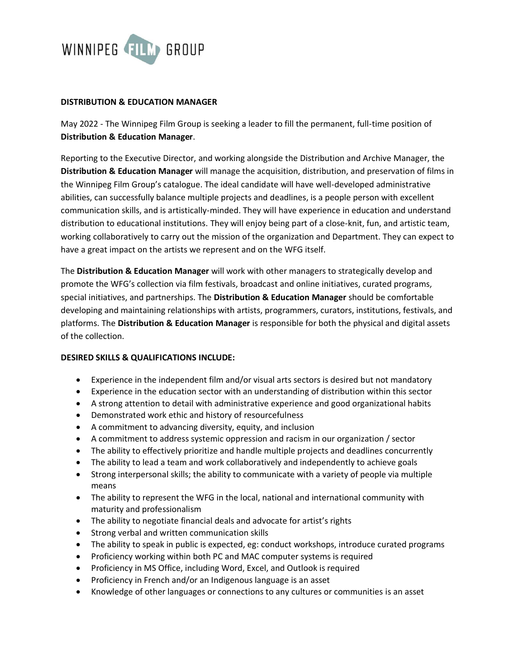

## **DISTRIBUTION & EDUCATION MANAGER**

May 2022 - The Winnipeg Film Group is seeking a leader to fill the permanent, full-time position of **Distribution & Education Manager**.

Reporting to the Executive Director, and working alongside the Distribution and Archive Manager, the **Distribution & Education Manager** will manage the acquisition, distribution, and preservation of films in the Winnipeg Film Group's catalogue. The ideal candidate will have well-developed administrative abilities, can successfully balance multiple projects and deadlines, is a people person with excellent communication skills, and is artistically-minded. They will have experience in education and understand distribution to educational institutions. They will enjoy being part of a close-knit, fun, and artistic team, working collaboratively to carry out the mission of the organization and Department. They can expect to have a great impact on the artists we represent and on the WFG itself.

The **Distribution & Education Manager** will work with other managers to strategically develop and promote the WFG's collection via film festivals, broadcast and online initiatives, curated programs, special initiatives, and partnerships. The **Distribution & Education Manager** should be comfortable developing and maintaining relationships with artists, programmers, curators, institutions, festivals, and platforms. The **Distribution & Education Manager** is responsible for both the physical and digital assets of the collection.

## **DESIRED SKILLS & QUALIFICATIONS INCLUDE:**

- Experience in the independent film and/or visual arts sectors is desired but not mandatory
- Experience in the education sector with an understanding of distribution within this sector
- A strong attention to detail with administrative experience and good organizational habits
- Demonstrated work ethic and history of resourcefulness
- A commitment to advancing diversity, equity, and inclusion
- A commitment to address systemic oppression and racism in our organization / sector
- The ability to effectively prioritize and handle multiple projects and deadlines concurrently
- The ability to lead a team and work collaboratively and independently to achieve goals
- Strong interpersonal skills; the ability to communicate with a variety of people via multiple means
- The ability to represent the WFG in the local, national and international community with maturity and professionalism
- The ability to negotiate financial deals and advocate for artist's rights
- Strong verbal and written communication skills
- The ability to speak in public is expected, eg: conduct workshops, introduce curated programs
- Proficiency working within both PC and MAC computer systems is required
- Proficiency in MS Office, including Word, Excel, and Outlook is required
- Proficiency in French and/or an Indigenous language is an asset
- Knowledge of other languages or connections to any cultures or communities is an asset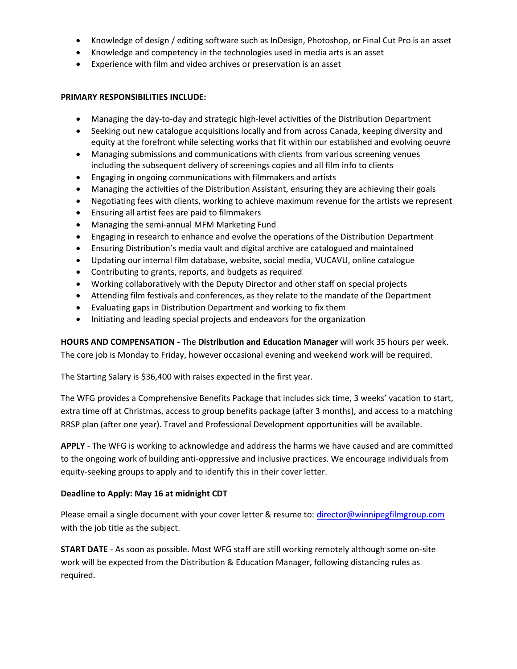- Knowledge of design / editing software such as InDesign, Photoshop, or Final Cut Pro is an asset
- Knowledge and competency in the technologies used in media arts is an asset
- Experience with film and video archives or preservation is an asset

## **PRIMARY RESPONSIBILITIES INCLUDE:**

- Managing the day-to-day and strategic high-level activities of the Distribution Department
- Seeking out new catalogue acquisitions locally and from across Canada, keeping diversity and equity at the forefront while selecting works that fit within our established and evolving oeuvre
- Managing submissions and communications with clients from various screening venues including the subsequent delivery of screenings copies and all film info to clients
- Engaging in ongoing communications with filmmakers and artists
- Managing the activities of the Distribution Assistant, ensuring they are achieving their goals
- Negotiating fees with clients, working to achieve maximum revenue for the artists we represent
- Ensuring all artist fees are paid to filmmakers
- Managing the semi-annual MFM Marketing Fund
- Engaging in research to enhance and evolve the operations of the Distribution Department
- Ensuring Distribution's media vault and digital archive are catalogued and maintained
- Updating our internal film database, website, social media, VUCAVU, online catalogue
- Contributing to grants, reports, and budgets as required
- Working collaboratively with the Deputy Director and other staff on special projects
- Attending film festivals and conferences, as they relate to the mandate of the Department
- Evaluating gaps in Distribution Department and working to fix them
- Initiating and leading special projects and endeavors for the organization

**HOURS AND COMPENSATION -** The **Distribution and Education Manager** will work 35 hours per week. The core job is Monday to Friday, however occasional evening and weekend work will be required.

The Starting Salary is \$36,400 with raises expected in the first year.

The WFG provides a Comprehensive Benefits Package that includes sick time, 3 weeks' vacation to start, extra time off at Christmas, access to group benefits package (after 3 months), and access to a matching RRSP plan (after one year). Travel and Professional Development opportunities will be available.

**APPLY** - The WFG is working to acknowledge and address the harms we have caused and are committed to the ongoing work of building anti-oppressive and inclusive practices. We encourage individuals from equity-seeking groups to apply and to identify this in their cover letter.

## **Deadline to Apply: May 16 at midnight CDT**

Please email a single document with your cover letter & resume to: [director@winnipegfilmgroup.com](mailto:director@winnipegfilmgroup.com) with the job title as the subject.

**START DATE** - As soon as possible. Most WFG staff are still working remotely although some on-site work will be expected from the Distribution & Education Manager, following distancing rules as required.